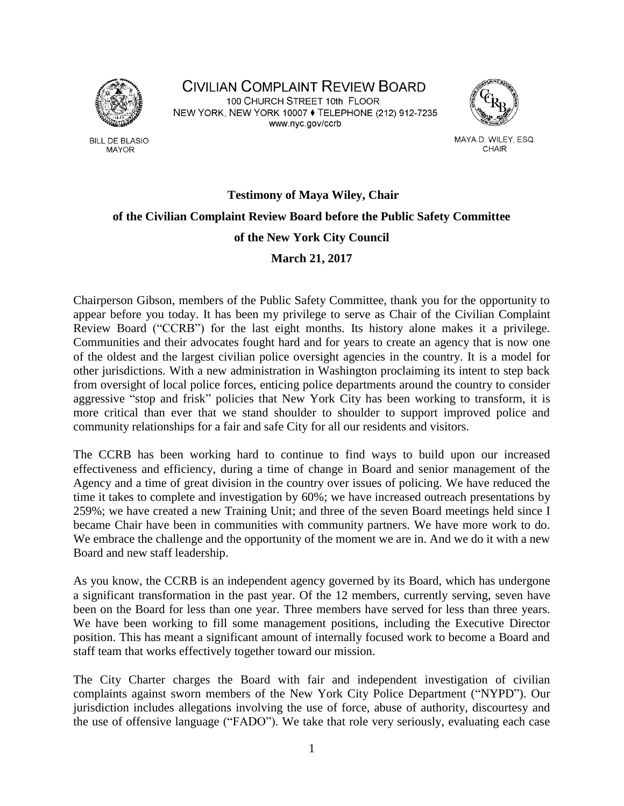

**BILL DE BLASIO MAYOR** 

**CIVILIAN COMPLAINT REVIEW BOARD** 100 CHURCH STREET 10th FLOOR NEW YORK, NEW YORK 10007 ♦ TELEPHONE (212) 912-7235 www.nyc.gov/ccrb



MAYA D. WILEY, ESQ. CHAIR

# **Testimony of Maya Wiley, Chair of the Civilian Complaint Review Board before the Public Safety Committee of the New York City Council March 21, 2017**

Chairperson Gibson, members of the Public Safety Committee, thank you for the opportunity to appear before you today. It has been my privilege to serve as Chair of the Civilian Complaint Review Board ("CCRB") for the last eight months. Its history alone makes it a privilege. Communities and their advocates fought hard and for years to create an agency that is now one of the oldest and the largest civilian police oversight agencies in the country. It is a model for other jurisdictions. With a new administration in Washington proclaiming its intent to step back from oversight of local police forces, enticing police departments around the country to consider aggressive "stop and frisk" policies that New York City has been working to transform, it is more critical than ever that we stand shoulder to shoulder to support improved police and community relationships for a fair and safe City for all our residents and visitors.

The CCRB has been working hard to continue to find ways to build upon our increased effectiveness and efficiency, during a time of change in Board and senior management of the Agency and a time of great division in the country over issues of policing. We have reduced the time it takes to complete and investigation by 60%; we have increased outreach presentations by 259%; we have created a new Training Unit; and three of the seven Board meetings held since I became Chair have been in communities with community partners. We have more work to do. We embrace the challenge and the opportunity of the moment we are in. And we do it with a new Board and new staff leadership.

As you know, the CCRB is an independent agency governed by its Board, which has undergone a significant transformation in the past year. Of the 12 members, currently serving, seven have been on the Board for less than one year. Three members have served for less than three years. We have been working to fill some management positions, including the Executive Director position. This has meant a significant amount of internally focused work to become a Board and staff team that works effectively together toward our mission.

The City Charter charges the Board with fair and independent investigation of civilian complaints against sworn members of the New York City Police Department ("NYPD"). Our jurisdiction includes allegations involving the use of force, abuse of authority, discourtesy and the use of offensive language ("FADO"). We take that role very seriously, evaluating each case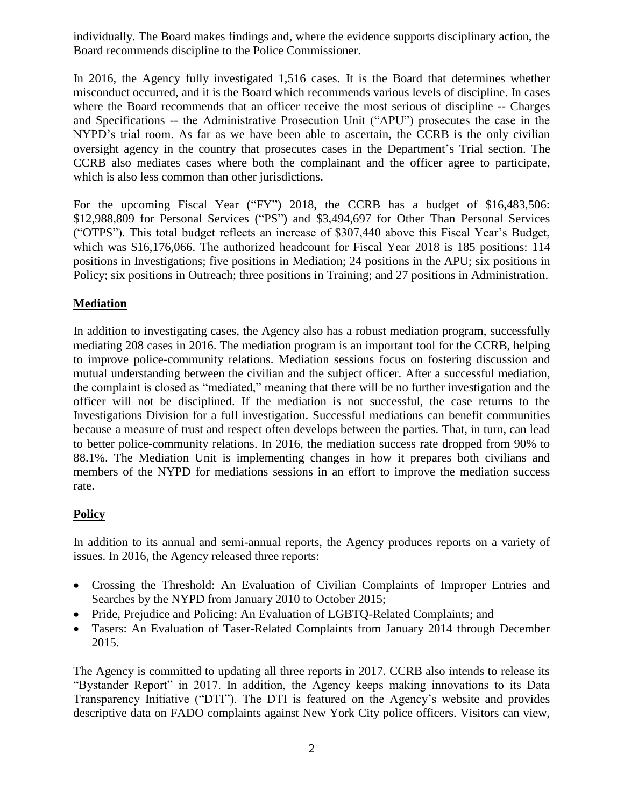individually. The Board makes findings and, where the evidence supports disciplinary action, the Board recommends discipline to the Police Commissioner.

In 2016, the Agency fully investigated 1,516 cases. It is the Board that determines whether misconduct occurred, and it is the Board which recommends various levels of discipline. In cases where the Board recommends that an officer receive the most serious of discipline -- Charges and Specifications -- the Administrative Prosecution Unit ("APU") prosecutes the case in the NYPD's trial room. As far as we have been able to ascertain, the CCRB is the only civilian oversight agency in the country that prosecutes cases in the Department's Trial section. The CCRB also mediates cases where both the complainant and the officer agree to participate, which is also less common than other jurisdictions.

For the upcoming Fiscal Year ("FY") 2018, the CCRB has a budget of \$16,483,506: \$12,988,809 for Personal Services ("PS") and \$3,494,697 for Other Than Personal Services ("OTPS"). This total budget reflects an increase of \$307,440 above this Fiscal Year's Budget, which was \$16,176,066. The authorized headcount for Fiscal Year 2018 is 185 positions: 114 positions in Investigations; five positions in Mediation; 24 positions in the APU; six positions in Policy; six positions in Outreach; three positions in Training; and 27 positions in Administration.

## **Mediation**

In addition to investigating cases, the Agency also has a robust mediation program, successfully mediating 208 cases in 2016. The mediation program is an important tool for the CCRB, helping to improve police-community relations. Mediation sessions focus on fostering discussion and mutual understanding between the civilian and the subject officer. After a successful mediation, the complaint is closed as "mediated," meaning that there will be no further investigation and the officer will not be disciplined. If the mediation is not successful, the case returns to the Investigations Division for a full investigation. Successful mediations can benefit communities because a measure of trust and respect often develops between the parties. That, in turn, can lead to better police-community relations. In 2016, the mediation success rate dropped from 90% to 88.1%. The Mediation Unit is implementing changes in how it prepares both civilians and members of the NYPD for mediations sessions in an effort to improve the mediation success rate.

# **Policy**

In addition to its annual and semi-annual reports, the Agency produces reports on a variety of issues. In 2016, the Agency released three reports:

- Crossing the Threshold: An Evaluation of Civilian Complaints of Improper Entries and Searches by the NYPD from January 2010 to October 2015;
- Pride, Prejudice and Policing: An Evaluation of LGBTQ-Related Complaints; and
- Tasers: An Evaluation of Taser-Related Complaints from January 2014 through December 2015.

The Agency is committed to updating all three reports in 2017. CCRB also intends to release its "Bystander Report" in 2017. In addition, the Agency keeps making innovations to its Data Transparency Initiative ("DTI"). The DTI is featured on the Agency's website and provides descriptive data on FADO complaints against New York City police officers. Visitors can view,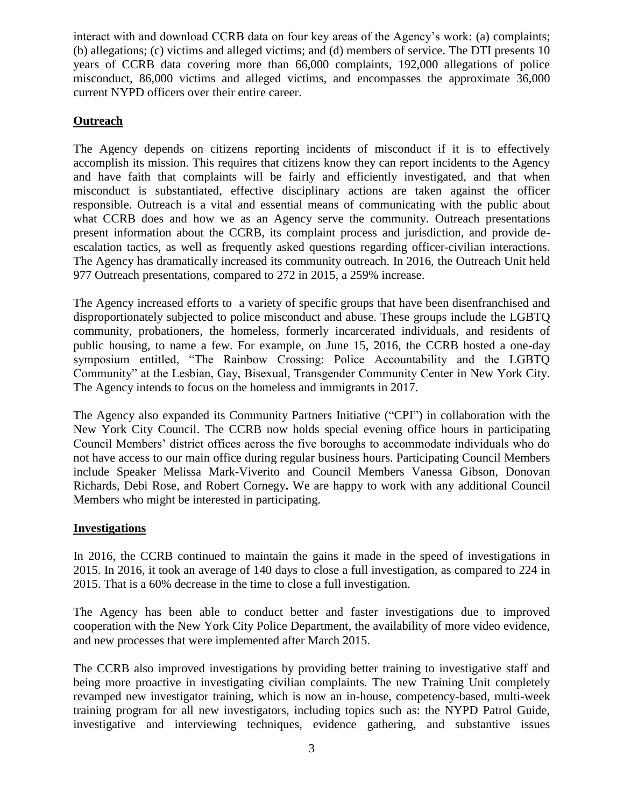interact with and download CCRB data on four key areas of the Agency's work: (a) complaints; (b) allegations; (c) victims and alleged victims; and (d) members of service. The DTI presents 10 years of CCRB data covering more than 66,000 complaints, 192,000 allegations of police misconduct, 86,000 victims and alleged victims, and encompasses the approximate 36,000 current NYPD officers over their entire career.

## **Outreach**

The Agency depends on citizens reporting incidents of misconduct if it is to effectively accomplish its mission. This requires that citizens know they can report incidents to the Agency and have faith that complaints will be fairly and efficiently investigated, and that when misconduct is substantiated, effective disciplinary actions are taken against the officer responsible. Outreach is a vital and essential means of communicating with the public about what CCRB does and how we as an Agency serve the community. Outreach presentations present information about the CCRB, its complaint process and jurisdiction, and provide deescalation tactics, as well as frequently asked questions regarding officer-civilian interactions. The Agency has dramatically increased its community outreach. In 2016, the Outreach Unit held 977 Outreach presentations, compared to 272 in 2015, a 259% increase.

The Agency increased efforts to a variety of specific groups that have been disenfranchised and disproportionately subjected to police misconduct and abuse. These groups include the LGBTQ community, probationers, the homeless, formerly incarcerated individuals, and residents of public housing, to name a few. For example, on June 15, 2016, the CCRB hosted a one-day symposium entitled, "The Rainbow Crossing: Police Accountability and the LGBTQ Community" at the Lesbian, Gay, Bisexual, Transgender Community Center in New York City. The Agency intends to focus on the homeless and immigrants in 2017.

The Agency also expanded its Community Partners Initiative ("CPI") in collaboration with the New York City Council. The CCRB now holds special evening office hours in participating Council Members' district offices across the five boroughs to accommodate individuals who do not have access to our main office during regular business hours. Participating Council Members include Speaker Melissa Mark-Viverito and Council Members Vanessa Gibson, Donovan Richards, Debi Rose, and Robert Cornegy**.** We are happy to work with any additional Council Members who might be interested in participating.

#### **Investigations**

In 2016, the CCRB continued to maintain the gains it made in the speed of investigations in 2015. In 2016, it took an average of 140 days to close a full investigation, as compared to 224 in 2015. That is a 60% decrease in the time to close a full investigation.

The Agency has been able to conduct better and faster investigations due to improved cooperation with the New York City Police Department, the availability of more video evidence, and new processes that were implemented after March 2015.

The CCRB also improved investigations by providing better training to investigative staff and being more proactive in investigating civilian complaints. The new Training Unit completely revamped new investigator training, which is now an in-house, competency-based, multi-week training program for all new investigators, including topics such as: the NYPD Patrol Guide, investigative and interviewing techniques, evidence gathering, and substantive issues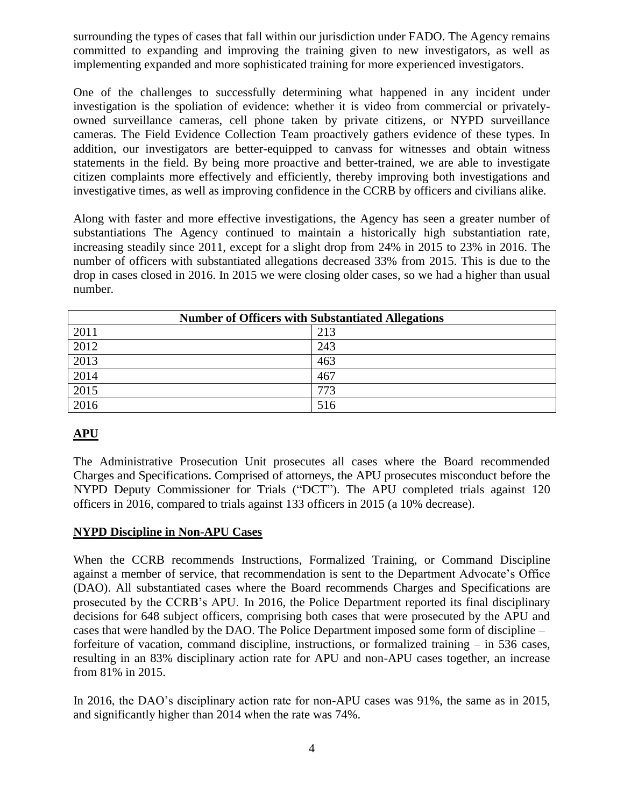surrounding the types of cases that fall within our jurisdiction under FADO. The Agency remains committed to expanding and improving the training given to new investigators, as well as implementing expanded and more sophisticated training for more experienced investigators.

One of the challenges to successfully determining what happened in any incident under investigation is the spoliation of evidence: whether it is video from commercial or privatelyowned surveillance cameras, cell phone taken by private citizens, or NYPD surveillance cameras. The Field Evidence Collection Team proactively gathers evidence of these types. In addition, our investigators are better-equipped to canvass for witnesses and obtain witness statements in the field. By being more proactive and better-trained, we are able to investigate citizen complaints more effectively and efficiently, thereby improving both investigations and investigative times, as well as improving confidence in the CCRB by officers and civilians alike.

Along with faster and more effective investigations, the Agency has seen a greater number of substantiations The Agency continued to maintain a historically high substantiation rate, increasing steadily since 2011, except for a slight drop from 24% in 2015 to 23% in 2016. The number of officers with substantiated allegations decreased 33% from 2015. This is due to the drop in cases closed in 2016. In 2015 we were closing older cases, so we had a higher than usual number.

| <b>Number of Officers with Substantiated Allegations</b> |     |
|----------------------------------------------------------|-----|
| 2011                                                     | 213 |
| 2012                                                     | 243 |
| 2013                                                     | 463 |
| 2014                                                     | 467 |
| 2015                                                     | 773 |
| 2016                                                     | 516 |

# **APU**

The Administrative Prosecution Unit prosecutes all cases where the Board recommended Charges and Specifications. Comprised of attorneys, the APU prosecutes misconduct before the NYPD Deputy Commissioner for Trials ("DCT"). The APU completed trials against 120 officers in 2016, compared to trials against 133 officers in 2015 (a 10% decrease).

#### **NYPD Discipline in Non-APU Cases**

When the CCRB recommends Instructions, Formalized Training, or Command Discipline against a member of service, that recommendation is sent to the Department Advocate's Office (DAO). All substantiated cases where the Board recommends Charges and Specifications are prosecuted by the CCRB's APU. In 2016, the Police Department reported its final disciplinary decisions for 648 subject officers, comprising both cases that were prosecuted by the APU and cases that were handled by the DAO. The Police Department imposed some form of discipline – forfeiture of vacation, command discipline, instructions, or formalized training – in 536 cases, resulting in an 83% disciplinary action rate for APU and non-APU cases together, an increase from 81% in 2015.

In 2016, the DAO's disciplinary action rate for non-APU cases was 91%, the same as in 2015, and significantly higher than 2014 when the rate was 74%.